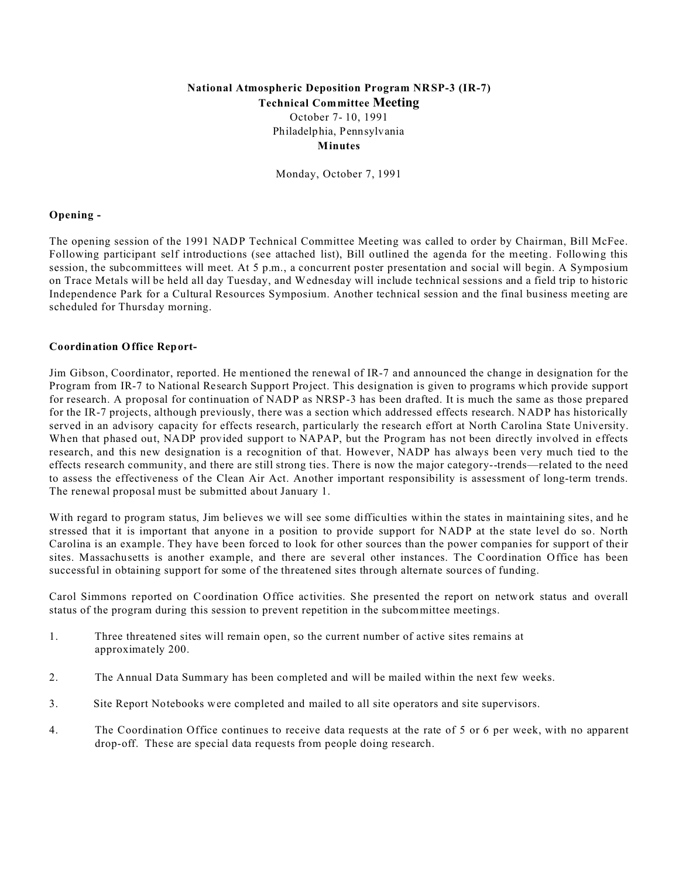# **National Atmospheric Deposition Program NRSP-3 (IR-7) Technical Committee Meeting**

October 7- 10, 1991 Philadelphia, Pennsylvania **Minutes**

Monday, October 7, 1991

## **Opening -**

The opening session of the 1991 NADP Technical Committee Meeting was called to order by Chairman, Bill McFee. Following participant self introductions (see attached list), Bill outlined the agenda for the meeting. Following this session, the subcommittees will meet. At 5 p.m., a concurrent poster presentation and social will begin. A Symposium on Trace Metals will be held all day Tuesday, and Wednesday will include technical sessions and a field trip to historic Independence Park for a Cultural Resources Symposium. Another technical session and the final business meeting are scheduled for Thursday morning.

# **Coordination Office Report-**

Jim Gibson, Coordinator, reported. He mentioned the renewal of IR-7 and announced the change in designation for the Program from IR-7 to National Research Support Project. This designation is given to programs which provide support for research. A proposal for continuation of NADP as NRSP-3 has been drafted. It is much the same as those prepared for the IR-7 projects, although previously, there was a section which addressed effects research. NADP has historically served in an advisory capacity for effects research, particularly the research effort at North Carolina State University. When that phased out, NADP provided support to NAPAP, but the Program has not been directly involved in effects research, and this new designation is a recognition of that. However, NADP has always been very much tied to the effects research community, and there are still strong ties. There is now the major category--trends—related to the need to assess the effectiveness of the Clean Air Act. Another important responsibility is assessment of long-term trends. The renewal proposal must be submitted about January 1.

With regard to program status, Jim believes we will see some difficulties within the states in maintaining sites, and he stressed that it is important that anyone in a position to provide support for NADP at the state level do so. North Carolina is an example. They have been forced to look for other sources than the power companies for support of their sites. Massachusetts is another example, and there are several other instances. The Coordination Office has been successful in obtaining support for some of the threatened sites through alternate sources of funding.

Carol Simmons reported on Coordination Office activities. She presented the report on network status and overall status of the program during this session to prevent repetition in the subcommittee meetings.

- 1. Three threatened sites will remain open, so the current number of active sites remains at approximately 200.
- 2. The Annual Data Summary has been completed and will be mailed within the next few weeks.
- 3. Site Report Notebooks were completed and mailed to all site operators and site supervisors.
- 4. The Coordination Office continues to receive data requests at the rate of 5 or 6 per week, with no apparent drop-off. These are special data requests from people doing research.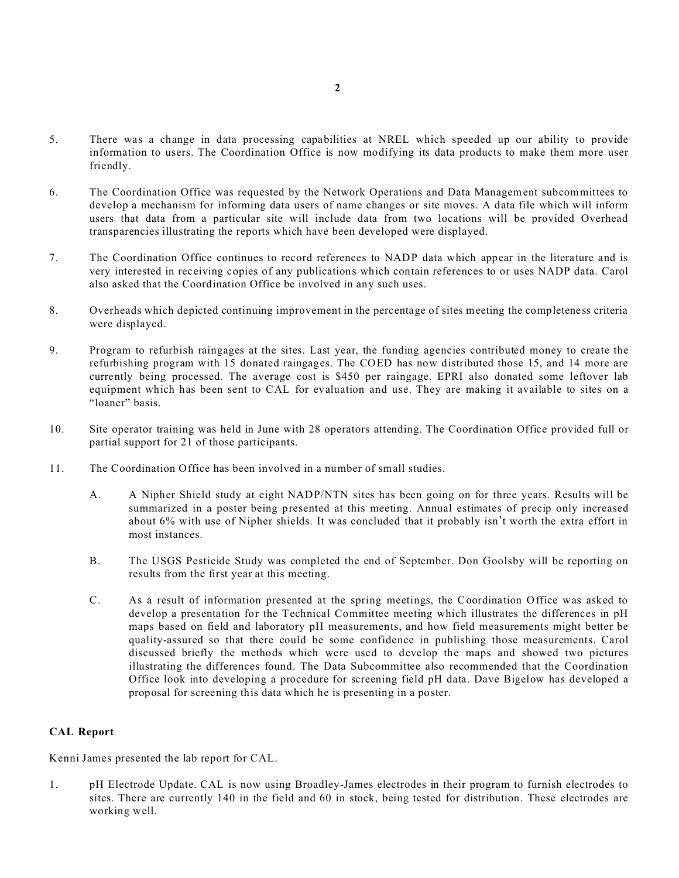- 5. There was a change in data processing capabilities at NREL which speeded up our ability to provide information to users. The Coordination Office is now modifying its data products to make them more user friendly.
- 6. The Coordination Office was requested by the Network Operations and Data Management subcommittees to develop a mechanism for informing data users of name changes or site moves. A data file which will inform users that data from a particular site will include data from two locations will be provided Overhead transparencies illustrating the reports which have been developed were displayed.
- 7. The Coordination Office continues to record references to NADP data which appear in the literature and is very interested in receiving copies of any publications which contain references to or uses NADP data. Carol also asked that the Coordination Office be involved in any such uses.
- 8. Overheads which depicted continuing improvement in the percentage of sites meeting the completeness criteria were displayed.
- 9. Program to refurbish raingages at the sites. Last year, the funding agencies contributed money to create the refurbishing program with 15 donated raingages. The COED has now distributed those 15, and 14 more are currently being processed. The average cost is \$450 per raingage. EPRI also donated some leftover lab equipment which has been sent to CAL for evaluation and use. They are making it available to sites on a "loaner" basis.
- 10. Site operator training was held in June with 28 operators attending. The Coordination Office provided full or partial support for 21 of those participants.
- 11. The Coordination Office has been involved in a number of small studies.
	- A. A Nipher Shield study at eight NADP/NTN sites has been going on for three years. Results will be summarized in a poster being presented at this meeting. Annual estimates of precip only increased about 6% with use of Nipher shields. It was concluded that it probably isn't worth the extra effort in most instances.
	- B. The USGS Pesticide Study was completed the end of September. Don Goolsby will be reporting on results from the first year at this meeting.
	- C. As a result of information presented at the spring meetings, the Coordination Office was asked to develop a presentation for the Technical Committee meeting which illustrates the differences in pH maps based on field and laboratory pH measurements, and how field measurements might better be quality-assured so that there could be some confidence in publishing those measurements. Carol discussed briefly the methods which were used to develop the maps and showed two pictures illustrating the differences found. The Data Subcommittee also recommended that the Coordination Office look into developing a procedure for screening field pH data. Dave Bigelow has developed a proposal for screening this data which he is presenting in a poster.

# **CAL Report-**

Kenni James presented the lab report for CAL.

1. pH Electrode Update. CAL is now using Broadley-James electrodes in their program to furnish electrodes to sites. There are currently 140 in the field and 60 in stock, being tested for distribution. These electrodes are working well.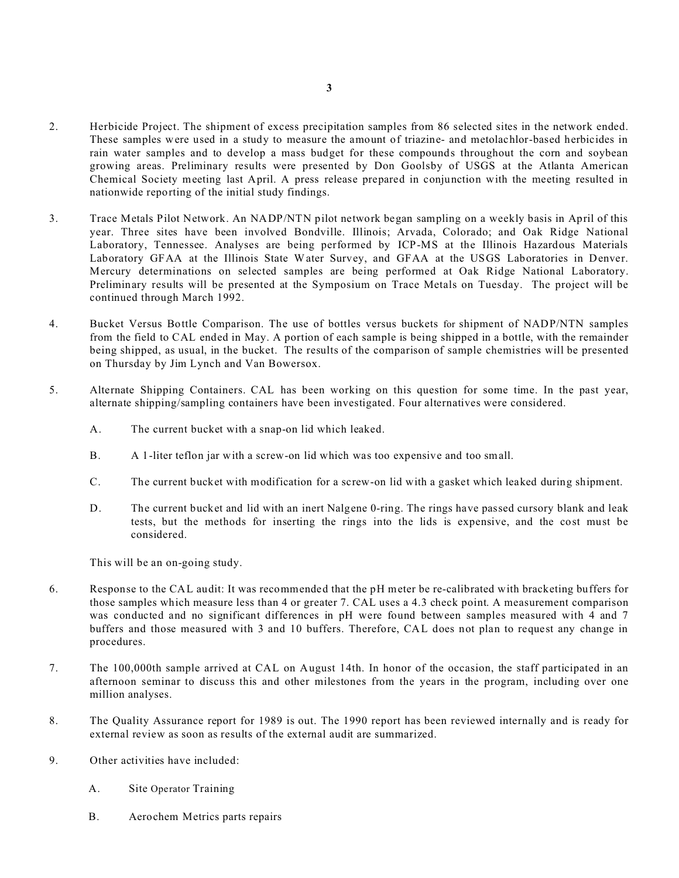- 2. Herbicide Project. The shipment of excess precipitation samples from 86 selected sites in the network ended. These samples were used in a study to measure the amount of triazine- and metolachlor-based herbicides in rain water samples and to develop a mass budget for these compounds throughout the corn and soybean growing areas. Preliminary results were presented by Don Goolsby of USGS at the Atlanta American Chemical Society meeting last April. A press release prepared in conjunction with the meeting resulted in nationwide reporting of the initial study findings.
- 3. Trace Metals Pilot Network. An NADP/NTN pilot network began sampling on a weekly basis in April of this year. Three sites have been involved Bondville. Illinois; Arvada, Colorado; and Oak Ridge National Laboratory, Tennessee. Analyses are being performed by ICP-MS at the Illinois Hazardous Materials Laboratory GFAA at the Illinois State Water Survey, and GFAA at the USGS Laboratories in Denver. Mercury determinations on selected samples are being performed at Oak Ridge National Laboratory. Preliminary results will be presented at the Symposium on Trace Metals on Tuesday. The project will be continued through March 1992.
- 4. Bucket Versus Bottle Comparison. The use of bottles versus buckets for shipment of NADP/NTN samples from the field to CAL ended in May. A portion of each sample is being shipped in a bottle, with the remainder being shipped, as usual, in the bucket. The results of the comparison of sample chemistries will be presented on Thursday by Jim Lynch and Van Bowersox.
- 5. Alternate Shipping Containers. CAL has been working on this question for some time. In the past year, alternate shipping/sampling containers have been investigated. Four alternatives were considered.
	- A. The current bucket with a snap-on lid which leaked.
	- B. A 1-liter teflon jar with a screw-on lid which was too expensive and too small.
	- C. The current bucket with modification for a screw-on lid with a gasket which leaked during shipment.
	- D. The current bucket and lid with an inert Nalgene 0-ring. The rings have passed cursory blank and leak tests, but the methods for inserting the rings into the lids is expensive, and the cost must be considered.

This will be an on-going study.

- 6. Response to the CAL audit: It was recommended that the pH meter be re-calibrated with bracketing buffers for those samples which measure less than 4 or greater 7. CAL uses a 4.3 check point. A measurement comparison was conducted and no significant differences in pH were found between samples measured with 4 and 7 buffers and those measured with 3 and 10 buffers. Therefore, CAL does not plan to request any change in procedures.
- 7. The 100,000th sample arrived at CAL on August 14th. In honor of the occasion, the staff participated in an afternoon seminar to discuss this and other milestones from the years in the program, including over one million analyses.
- 8. The Quality Assurance report for 1989 is out. The 1990 report has been reviewed internally and is ready for external review as soon as results of the external audit are summarized.
- 9. Other activities have included:
	- A. Site Operator Training
	- B. Aerochem Metrics parts repairs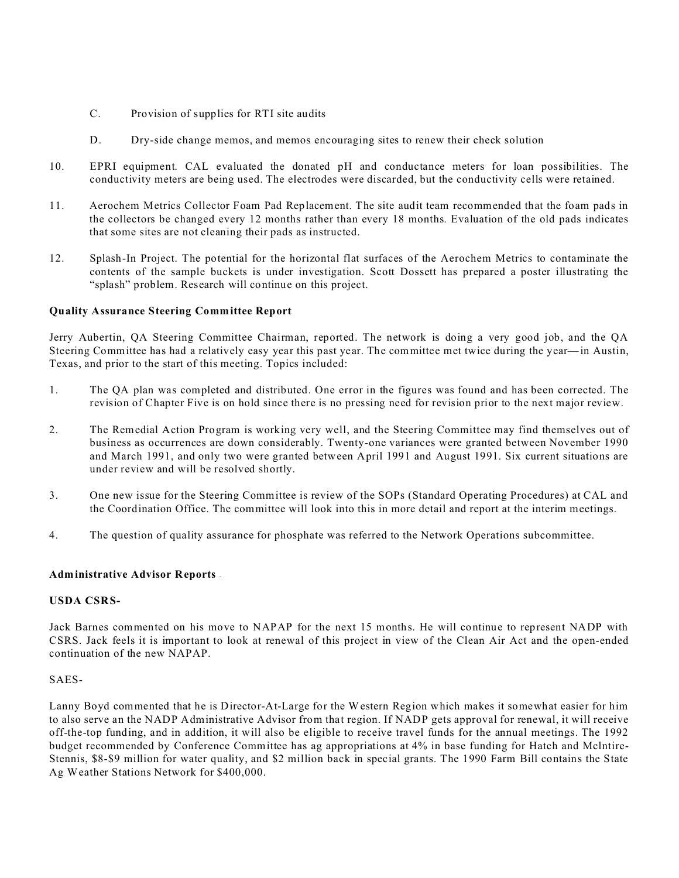- C. Provision of supplies for RTI site audits
- D. Dry-side change memos, and memos encouraging sites to renew their check solution
- 10. EPRI equipment. CAL evaluated the donated pH and conductance meters for loan possibilities. The conductivity meters are being used. The electrodes were discarded, but the conductivity cells were retained.
- 11. Aerochem Metrics Collector Foam Pad Replacement. The site audit team recommended that the foam pads in the collectors be changed every 12 months rather than every 18 months. Evaluation of the old pads indicates that some sites are not cleaning their pads as instructed.
- 12. Splash-In Project. The potential for the horizontal flat surfaces of the Aerochem Metrics to contaminate the contents of the sample buckets is under investigation. Scott Dossett has prepared a poster illustrating the "splash" problem. Research will continue on this project.

# **Quality Assurance Steering Committee Report**

Jerry Aubertin, QA Steering Committee Chairman, reported. The network is doing a very good job, and the QA Steering Committee has had a relatively easy year this past year. The committee met twice during the year—in Austin, Texas, and prior to the start of this meeting. Topics included:

- 1. The QA plan was completed and distributed. One error in the figures was found and has been corrected. The revision of Chapter Five is on hold since there is no pressing need for revision prior to the next major review.
- 2. The Remedial Action Program is working very well, and the Steering Committee may find themselves out of business as occurrences are down considerably. Twenty-one variances were granted between November 1990 and March 1991, and only two were granted between April 1991 and August 1991. Six current situations are under review and will be resolved shortly.
- 3. One new issue for the Steering Committee is review of the SOPs (Standard Operating Procedures) at CAL and the Coordination Office. The committee will look into this in more detail and report at the interim meetings.
- 4. The question of quality assurance for phosphate was referred to the Network Operations subcommittee.

## **Administrative Advisor Reports -**

# **USDA CSRS-**

Jack Barnes commented on his move to NAPAP for the next 15 months. He will continue to represent NADP with CSRS. Jack feels it is important to look at renewal of this project in view of the Clean Air Act and the open-ended continuation of the new NAPAP.

# SAES-

Lanny Boyd commented that he is Director-At-Large for the Western Region which makes it somewhat easier for him to also serve an the NADP Administrative Advisor from that region. If NADP gets approval for renewal, it will receive off-the-top funding, and in addition, it will also be eligible to receive travel funds for the annual meetings. The 1992 budget recommended by Conference Committee has ag appropriations at 4% in base funding for Hatch and Mclntire-Stennis, \$8-\$9 million for water quality, and \$2 million back in special grants. The 1990 Farm Bill contains the State Ag Weather Stations Network for \$400,000.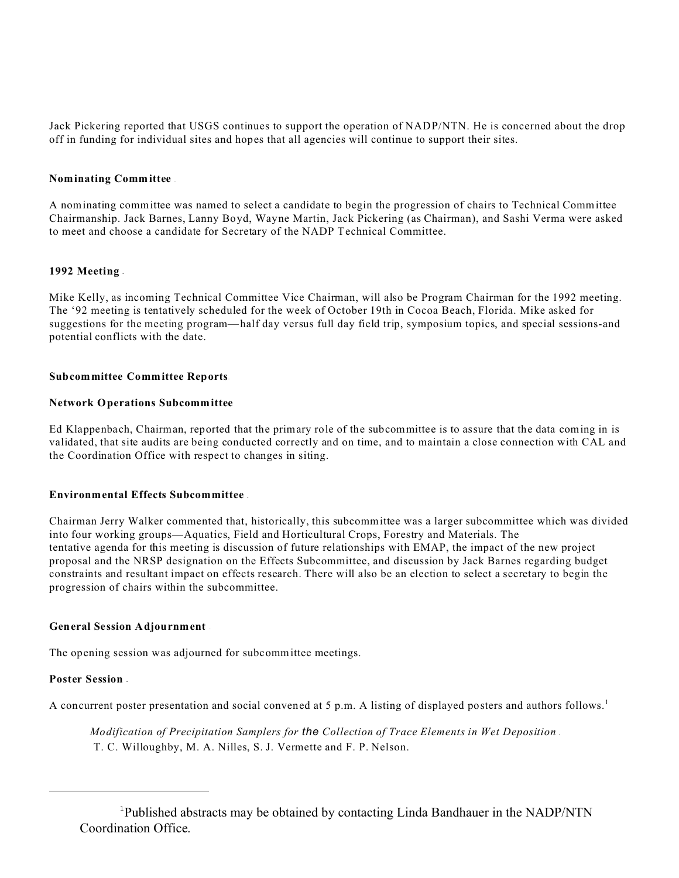Jack Pickering reported that USGS continues to support the operation of NADP/NTN. He is concerned about the drop off in funding for individual sites and hopes that all agencies will continue to support their sites.

# **Nominating Committee** -

A nominating committee was named to select a candidate to begin the progression of chairs to Technical Committee Chairmanship. Jack Barnes, Lanny Boyd, Wayne Martin, Jack Pickering (as Chairman), and Sashi Verma were asked to meet and choose a candidate for Secretary of the NADP Technical Committee.

## **1992 Meeting -**

Mike Kelly, as incoming Technical Committee Vice Chairman, will also be Program Chairman for the 1992 meeting. The '92 meeting is tentatively scheduled for the week of October 19th in Cocoa Beach, Florida. Mike asked for suggestions for the meeting program—half day versus full day field trip, symposium topics, and special sessions-and potential conflicts with the date.

# **Subcommittee Committee Reports-**

# **Network Operations Subcommittee**

Ed Klappenbach, Chairman, reported that the primary role of the subcommittee is to assure that the data coming in is validated, that site audits are being conducted correctly and on time, and to maintain a close connection with CAL and the Coordination Office with respect to changes in siting.

## **Environmental Effects Subcommittee -**

Chairman Jerry Walker commented that, historically, this subcommittee was a larger subcommittee which was divided into four working groups—Aquatics, Field and Horticultural Crops, Forestry and Materials. The tentative agenda for this meeting is discussion of future relationships with EMAP, the impact of the new project proposal and the NRSP designation on the Effects Subcommittee, and discussion by Jack Barnes regarding budget constraints and resultant impact on effects research. There will also be an election to select a secretary to begin the progression of chairs within the subcommittee.

## **General Session Adjournment** -

The opening session was adjourned for subcommittee meetings.

# **Poster Session -**

A concurrent poster presentation and social convened at 5 p.m. A listing of displayed posters and authors follows.<sup>1</sup>

*Modification of Precipitation Samplers for the Collection of Trace Elements in Wet Deposition* - T. C. Willoughby, M. A. Nilles, S. J. Vermette and F. P. Nelson.

<sup>&</sup>lt;sup>1</sup>Published abstracts may be obtained by contacting Linda Bandhauer in the NADP/NTN Coordination Office.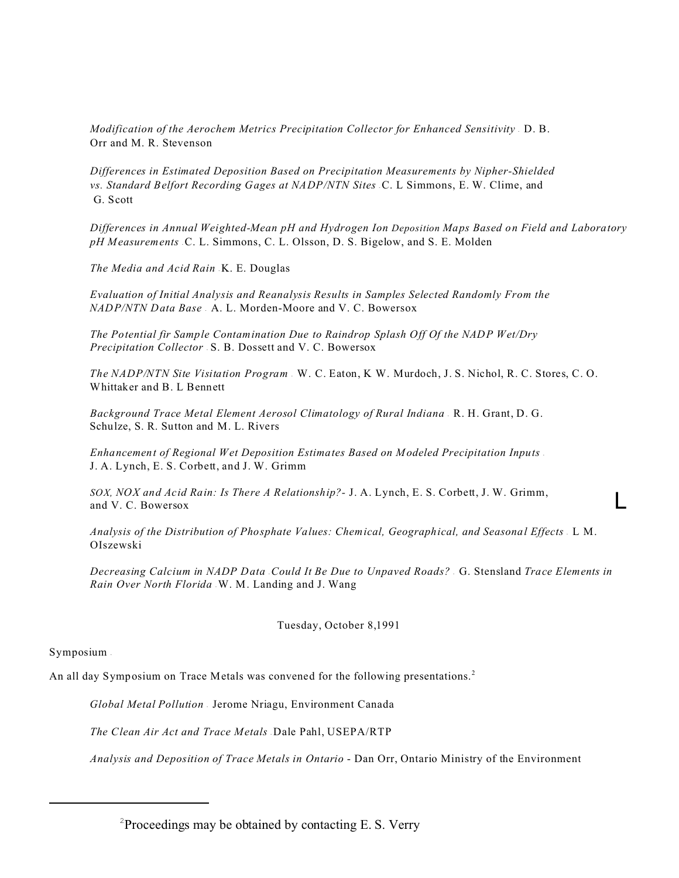*Modification of the Aerochem Metrics Precipitation Collector for Enhanced Sensitivity* - D. B. Orr and M. R. Stevenson

*Differences in Estimated Deposition Based on Precipitation Measurements by Nipher-Shielded* vs. Standard Belfort Recording Gages at NADP/NTN Sites C. L Simmons, E. W. Clime, and G. Scott

*Differences in Annual Weighted-Mean pH and Hydrogen Ion Deposition Maps Based on Field and Laboratory* pH Measurements C. L. Simmons, C. L. Olsson, D. S. Bigelow, and S. E. Molden

The Media and Acid Rain **K. E. Douglas** 

*Evaluation of Initial Analysis and Reanalysis Results in Samples Selected Randomly From the NADP/NTN Data Base* - A. L. Morden-Moore and V. C. Bowersox

*The Potential fir Sample Contamination Due to Raindrop Splash Off Of the NADP Wet/Dry Precipitation Collector* - S. B. Dossett and V. C. Bowersox

*The NADP/NTN Site Visitation Program* - W. C. Eaton, K W. Murdoch, J. S. Nichol, R. C. Stores, C. O. Whittaker and B. L Bennett

*Background Trace Metal Element Aerosol Climatology of Rural Indiana* - R. H. Grant, D. G. Schulze, S. R. Sutton and M. L. Rivers

*Enhancement of Regional Wet Deposition Estimates Based on Modeled Precipitation Inputs* - J. A. Lynch, E. S. Corbett, and J. W. Grimm

*SOX, NOX and Acid Rain: Is There A Relationship?-* J. A. Lynch, E. S. Corbett, J. W. Grimm, and V. C. Bowersox L

*Analysis of the Distribution of Phosphate Values: Chemical, Geographical, and Seasonal Effects* - L M. OIszewski

*Decreasing Calcium in NADP Data* - *Could It Be Due to Unpaved Roads?* - G. Stensland *Trace Elements in Rain Over North Florida* - W. M. Landing and J. Wang

Tuesday, October 8,1991

## Symposium -

An all day Symposium on Trace Metals was convened for the following presentations.<sup>2</sup>

*Global Metal Pollution* - Jerome Nriagu, Environment Canada

*The Clean Air Act and Trace Metals* - Dale Pahl, USEPA/RTP

*Analysis and Deposition of Trace Metals in Ontario* - Dan Orr, Ontario Ministry of the Environment

 $2^2$ Proceedings may be obtained by contacting E. S. Verry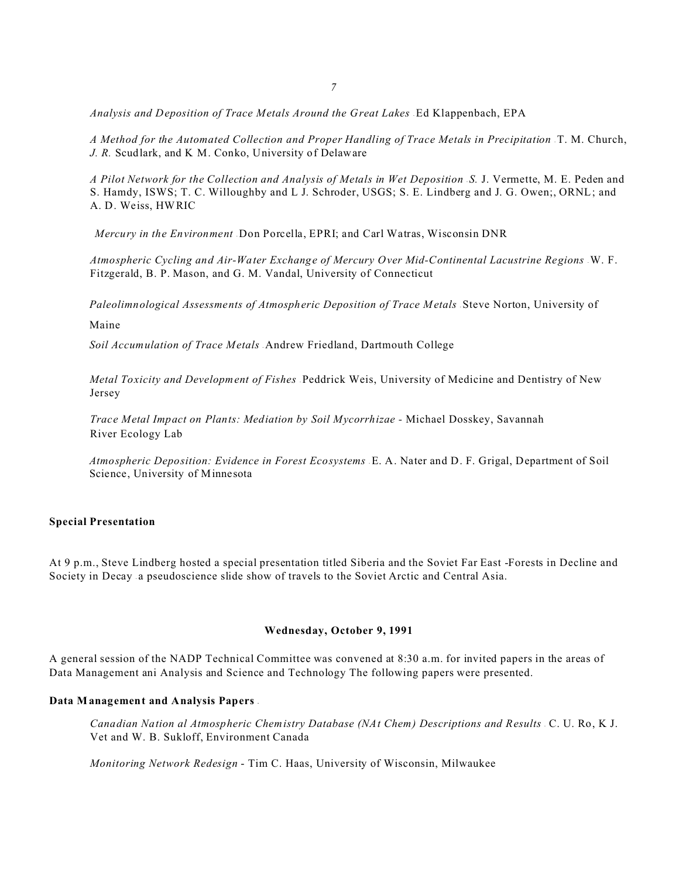*Analysis and Deposition of Trace Metals Around the Great Lakes* - Ed Klappenbach, EPA

*A Method for the Automated Collection and Proper Handling of Trace Metals in Precipitation T. M. Church, J. R.* Scudlark, and K M. Conko, University of Delaware

*A Pilot Network for the Collection and Analysis of Metals in Wet Deposition*  $S$ *. J. Vermette, M. E. Peden and* S. Hamdy, ISWS; T. C. Willoughby and L J. Schroder, USGS; S. E. Lindberg and J. G. Owen;, ORNL; and A. D. Weiss, HWRIC

*Mercury in the Environment* - Don Porcella, EPRI; and Carl Watras, Wisconsin DNR

Atmospheric Cycling and Air-Water Exchange of Mercury Over Mid-Continental Lacustrine Regions W. F. Fitzgerald, B. P. Mason, and G. M. Vandal, University of Connecticut

Paleolimnological Assessments of Atmospheric Deposition of Trace Metals . Steve Norton, University of

Maine

*Soil Accumulation of Trace Metals* - Andrew Friedland, Dartmouth College

*Metal Toxicity and Development of Fishes* - Peddrick Weis, University of Medicine and Dentistry of New Jersey

*Trace Metal Impact on Plants: Mediation by Soil Mycorrhizae -* Michael Dosskey, Savannah River Ecology Lab

*Atmospheric Deposition: Evidence in Forest Ecosystems E. A. Nater and D. F. Grigal, Department of Soil* Science, University of Minnesota

### **Special Presentation**

At 9 p.m., Steve Lindberg hosted a special presentation titled Siberia and the Soviet Far East -Forests in Decline and Society in Decay a pseudoscience slide show of travels to the Soviet Arctic and Central Asia.

#### **Wednesday, October 9, 1991**

A general session of the NADP Technical Committee was convened at 8:30 a.m. for invited papers in the areas of Data Management ani Analysis and Science and Technology The following papers were presented.

#### **Data Management and Analysis Papers -**

Canadian Nation al Atmospheric Chemistry Database (NAt Chem) Descriptions and Results C. U. Ro, K J. Vet and W. B. Sukloff, Environment Canada

*Monitoring Network Redesign* - Tim C. Haas, University of Wisconsin, Milwaukee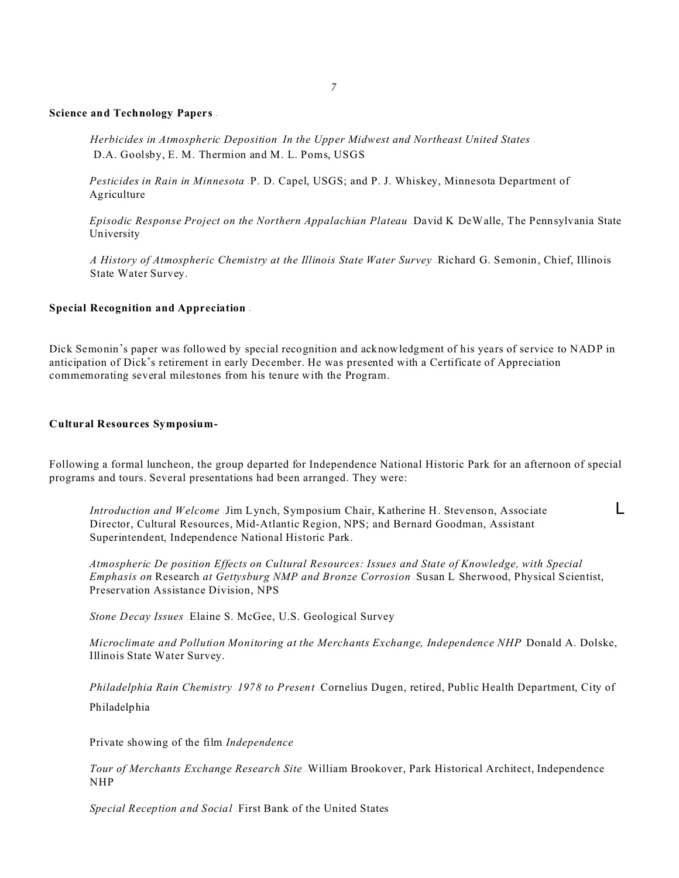#### *7*

#### **Science and Technology Papers -**

*Herbicides in Atmospheric Deposition* . *In the Upper Midwest and Northeast United States* - D.A. Goolsby, E. M. Thermion and M. L. Poms, USGS

*Pesticides in Rain in Minnesota* P. D. Capel, USGS; and P. J. Whiskey, Minnesota Department of Agriculture

*Episodic Response Project on the Northern Appalachian Plateau* David K DeWalle, The Pennsylvania State University

*A History of Atmospheric Chemistry at the Illinois State Water Survey* - Richard G. Semonin, Chief, Illinois State Water Survey.

### **Special Recognition and Appreciation -**

Dick Semonin's paper was followed by special recognition and acknowledgment of his years of service to NADP in anticipation of Dick\*s retirement in early December. He was presented with a Certificate of Appreciation commemorating several milestones from his tenure with the Program.

#### **Cultural Resources Symposium-**

Following a formal luncheon, the group departed for Independence National Historic Park for an afternoon of special programs and tours. Several presentations had been arranged. They were:

*Introduction and Welcome* Jim Lynch, Symposium Chair, Katherine H. Stevenson, Associate **L** Director, Cultural Resources, Mid-Atlantic Region, NPS; and Bernard Goodman, Assistant Superintendent, Independence National Historic Park.

*Atmospheric De position Effects on Cultural Resources: Issues and State of Knowledge, with Special Emphasis on* Research *at Gettysburg NMP and Bronze Corrosion* - Susan L Sherwood, Physical Scientist, Preservation Assistance Division, NPS

*Stone Decay Issues* - Elaine S. McGee, U.S. Geological Survey

*Microclimate and Pollution Monitoring at the Merchants Exchange, Independence NHP* Donald A. Dolske, Illinois State Water Survey.

*Philadelphia Rain Chemistry* - *1978 to Present* - Cornelius Dugen, retired, Public Health Department, City of Philadelphia

Private showing of the film *Independence*

*Tour of Merchants Exchange Research Site* - William Brookover, Park Historical Architect, Independence NHP

*Special Reception and Social* - First Bank of the United States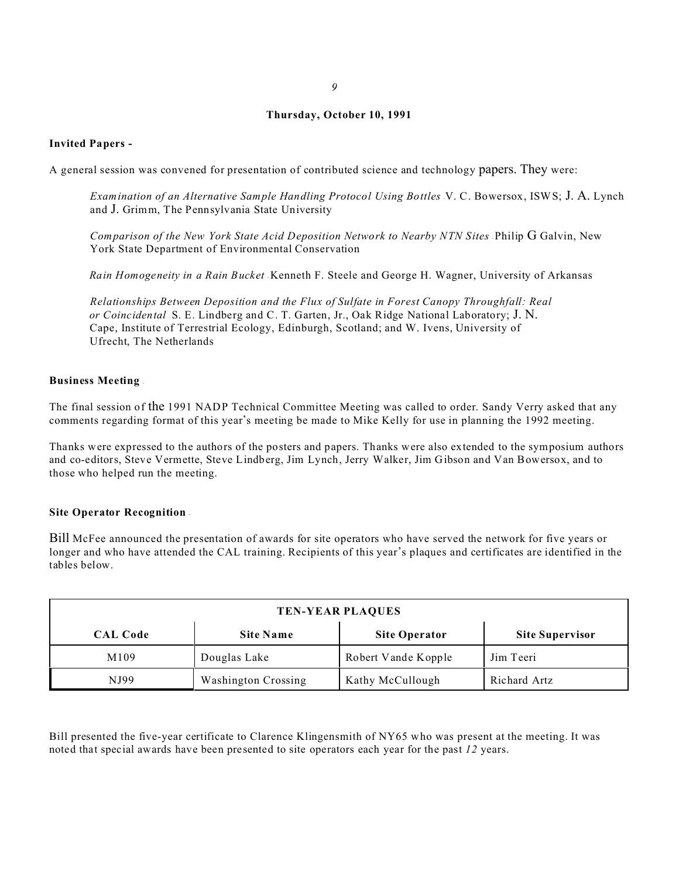#### *9*

## **Thursday, October 10, 1991**

## **Invited Papers -**

A general session was convened for presentation of contributed science and technology papers. They were:

*Examination of an Alternative Sample Handling Protocol Using Bottles V. C. Bowersox, ISWS; J. A. Lynch* and J. Grimm, The Pennsylvania State University

Comparison of the New York State Acid Deposition Network to Nearby NTN Sites Philip G Galvin, New York State Department of Environmental Conservation

*Rain Homogeneity in a Rain Bucket* - Kenneth F. Steele and George H. Wagner, University of Arkansas

*Relationships Between Deposition and the Flux of Sulfate in Forest Canopy Throughfall: Real or Coincidental* . S. E. Lindberg and C. T. Garten, Jr., Oak Ridge National Laboratory; J. N. Cape, Institute of Terrestrial Ecology, Edinburgh, Scotland; and W. Ivens, University of Ufrecht, The Netherlands

#### **Business Meeting** -

The final session of the 1991 NADP Technical Committee Meeting was called to order. Sandy Verry asked that any comments regarding format of this year's meeting be made to Mike Kelly for use in planning the 1992 meeting.

Thanks were expressed to the authors of the posters and papers. Thanks were also extended to the symposium authors and co-editors, Steve Vermette, Steve Lindberg, Jim Lynch, Jerry Walker, Jim Gibson and Van Bowersox, and to those who helped run the meeting.

# **Site Operator Recognition -**

Bill McFee announced the presentation of awards for site operators who have served the network for five years or longer and who have attended the CAL training. Recipients of this year's plaques and certificates are identified in the tables below.

| <b>TEN-YEAR PLAQUES</b> |                            |                      |                        |
|-------------------------|----------------------------|----------------------|------------------------|
| <b>CAL Code</b>         | <b>Site Name</b>           | <b>Site Operator</b> | <b>Site Supervisor</b> |
| M109                    | Douglas Lake               | Robert Vande Kopple  | Jim Teeri              |
| NJ99                    | <b>Washington Crossing</b> | Kathy McCullough     | Richard Artz           |

Bill presented the five-year certificate to Clarence Klingensmith of NY65 who was present at the meeting. It was noted that special awards have been presented to site operators each year for the past *12* years.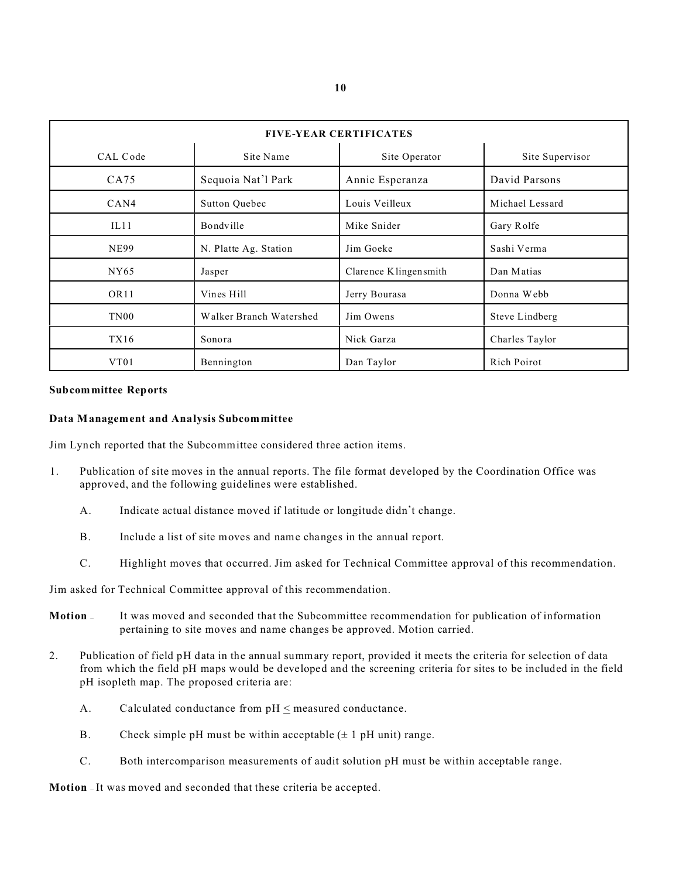| <b>FIVE-YEAR CERTIFICATES</b> |                         |                       |                 |  |
|-------------------------------|-------------------------|-----------------------|-----------------|--|
| CAL Code                      | Site Name               | Site Operator         | Site Supervisor |  |
| CA75                          | Sequoia Nat'l Park      | Annie Esperanza       | David Parsons   |  |
| CAN4                          | <b>Sutton Quebec</b>    | Louis Veilleux        | Michael Lessard |  |
| IL11                          | Bondville               | Mike Snider           | Gary Rolfe      |  |
| <b>NE99</b>                   | N. Platte Ag. Station   | Jim Goeke             | Sashi Verma     |  |
| NY <sub>65</sub>              | Jasper                  | Clarence Klingensmith | Dan Matias      |  |
| OR <sub>11</sub>              | Vines Hill              | Jerry Bourasa         | Donna Webb      |  |
| TN00                          | Walker Branch Watershed | Jim Owens             | Steve Lindberg  |  |
| TX16                          | Sonora                  | Nick Garza            | Charles Taylor  |  |
| VT01                          | Bennington              | Dan Taylor            | Rich Poirot     |  |

# **Subcommittee Reports**

# **Data Management and Analysis Subcommittee**

Jim Lynch reported that the Subcommittee considered three action items.

- 1. Publication of site moves in the annual reports. The file format developed by the Coordination Office was approved, and the following guidelines were established.
	- A. Indicate actual distance moved if latitude or longitude didn't change.
	- B. Include a list of site moves and name changes in the annual report.
	- C. Highlight moves that occurred. Jim asked for Technical Committee approval of this recommendation.

Jim asked for Technical Committee approval of this recommendation.

- **Motion**  It was moved and seconded that the Subcommittee recommendation for publication of information pertaining to site moves and name changes be approved. Motion carried.
- 2. Publication of field pH data in the annual summary report, provided it meets the criteria for selection of data from which the field pH maps would be developed and the screening criteria for sites to be included in the field pH isopleth map. The proposed criteria are:
	- A. Calculated conductance from pH < measured conductance.
	- B. Check simple pH must be within acceptable  $(\pm 1 \text{ pH unit})$  range.
	- C. Both intercomparison measurements of audit solution pH must be within acceptable range.

**Motion** — It was moved and seconded that these criteria be accepted.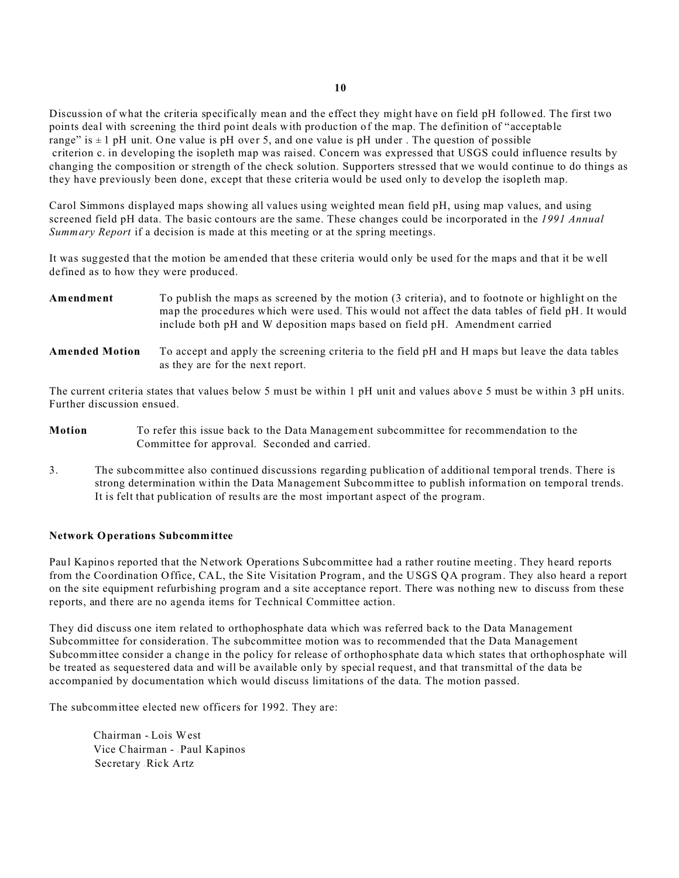Discussion of what the criteria specifically mean and the effect they might have on field pH followed. The first two points deal with screening the third point deals with production of the map. The definition of "acceptable range" is  $\pm 1$  pH unit. One value is pH over 5, and one value is pH under . The question of possible criterion c. in developing the isopleth map was raised. Concern was expressed that USGS could influence results by changing the composition or strength of the check solution. Supporters stressed that we would continue to do things as they have previously been done, except that these criteria would be used only to develop the isopleth map.

Carol Simmons displayed maps showing all values using weighted mean field pH, using map values, and using screened field pH data. The basic contours are the same. These changes could be incorporated in the *1991 Annual Summary Report* if a decision is made at this meeting or at the spring meetings.

It was suggested that the motion be amended that these criteria would only be used for the maps and that it be well defined as to how they were produced.

| Amendment             | To publish the maps as screened by the motion (3 criteria), and to footnote or highlight on the<br>map the procedures which were used. This would not affect the data tables of field pH. It would<br>include both pH and W deposition maps based on field pH. Amendment carried |
|-----------------------|----------------------------------------------------------------------------------------------------------------------------------------------------------------------------------------------------------------------------------------------------------------------------------|
| <b>Amended Motion</b> | To accept and apply the screening criteria to the field pH and H maps but leave the data tables                                                                                                                                                                                  |

The current criteria states that values below 5 must be within 1 pH unit and values above 5 must be within 3 pH units. Further discussion ensued.

**Motion** To refer this issue back to the Data Management subcommittee for recommendation to the Committee for approval. Seconded and carried.

as they are for the next report.

3. The subcommittee also continued discussions regarding publication of additional temporal trends. There is strong determination within the Data Management Subcommittee to publish information on temporal trends. It is felt that publication of results are the most important aspect of the program.

## **Network Operations Subcommittee**

Paul Kapinos reported that the Network Operations Subcommittee had a rather routine meeting. They heard reports from the Coordination Office, CAL, the Site Visitation Program, and the USGS QA program. They also heard a report on the site equipment refurbishing program and a site acceptance report. There was nothing new to discuss from these reports, and there are no agenda items for Technical Committee action.

They did discuss one item related to orthophosphate data which was referred back to the Data Management Subcommittee for consideration. The subcommittee motion was to recommended that the Data Management Subcommittee consider a change in the policy for release of orthophosphate data which states that orthophosphate will be treated as sequestered data and will be available only by special request, and that transmittal of the data be accompanied by documentation which would discuss limitations of the data. The motion passed.

The subcommittee elected new officers for 1992. They are:

Chairman - Lois West Vice Chairman - Paul Kapinos Secretary - Rick Artz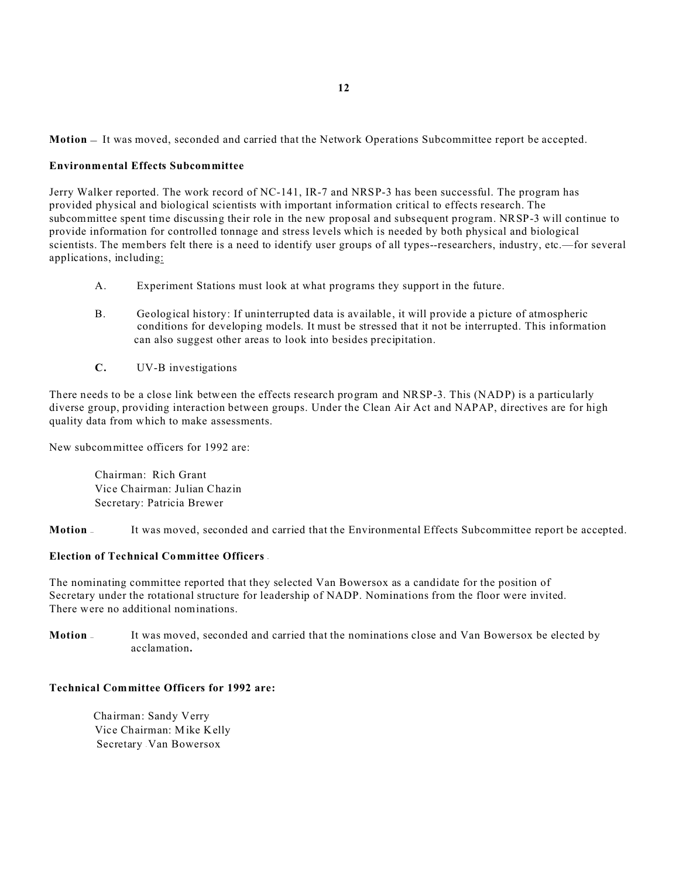**Motion** — It was moved, seconded and carried that the Network Operations Subcommittee report be accepted.

# **Environmental Effects Subcommittee**

Jerry Walker reported. The work record of NC-141, IR-7 and NRSP-3 has been successful. The program has provided physical and biological scientists with important information critical to effects research. The subcommittee spent time discussing their role in the new proposal and subsequent program. NRSP-3 will continue to provide information for controlled tonnage and stress levels which is needed by both physical and biological scientists. The members felt there is a need to identify user groups of all types--researchers, industry, etc.—for several applications, including:

- A. Experiment Stations must look at what programs they support in the future.
- B. Geological history: If uninterrupted data is available, it will provide a picture of atmospheric conditions for developing models. It must be stressed that it not be interrupted. This information can also suggest other areas to look into besides precipitation.
- **C.** UV-B investigations

There needs to be a close link between the effects research program and NRSP-3. This (NADP) is a particularly diverse group, providing interaction between groups. Under the Clean Air Act and NAPAP, directives are for high quality data from which to make assessments.

New subcommittee officers for 1992 are:

Chairman: Rich Grant Vice Chairman: Julian Chazin Secretary: Patricia Brewer

**Motion** — It was moved, seconded and carried that the Environmental Effects Subcommittee report be accepted.

# **Election of Technical Committee Officers -**

The nominating committee reported that they selected Van Bowersox as a candidate for the position of Secretary under the rotational structure for leadership of NADP. Nominations from the floor were invited. There were no additional nominations.

**Motion** — It was moved, seconded and carried that the nominations close and Van Bowersox be elected by acclamation**.**

## **Technical Committee Officers for 1992 are:**

Chairman: Sandy Verry Vice Chairman: Mike Kelly Secretary Van Bowersox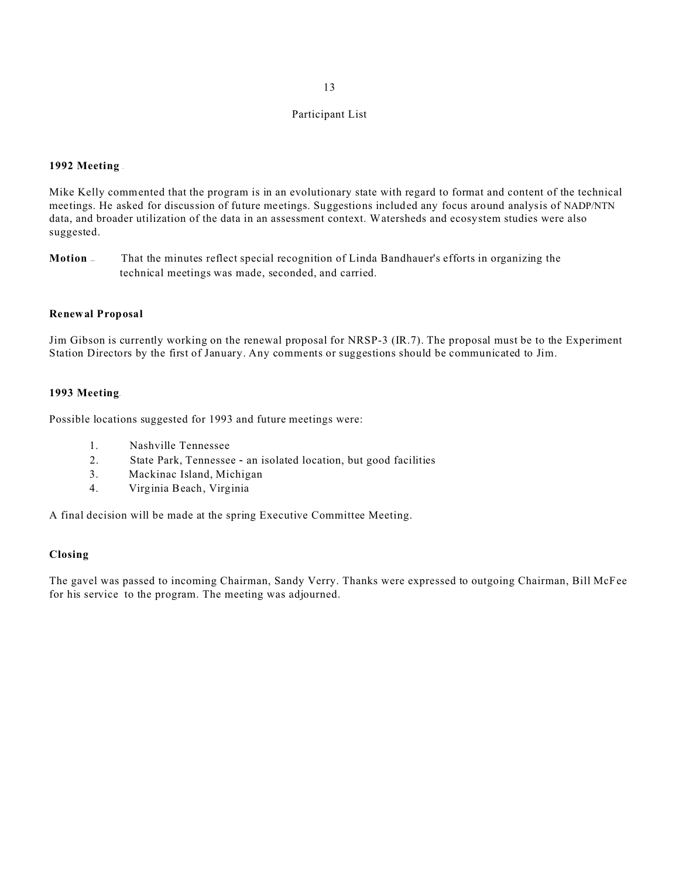## **1992 Meeting** -

Mike Kelly commented that the program is in an evolutionary state with regard to format and content of the technical meetings. He asked for discussion of future meetings. Suggestions included any focus around analysis of NADP/NTN data, and broader utilization of the data in an assessment context. Watersheds and ecosystem studies were also suggested.

**Motion** — That the minutes reflect special recognition of Linda Bandhauer's efforts in organizing the technical meetings was made, seconded, and carried.

## **Renewal Proposal**

Jim Gibson is currently working on the renewal proposal for NRSP-3 (IR.7). The proposal must be to the Experiment Station Directors by the first of January. Any comments or suggestions should be communicated to Jim.

# **1993 Meeting-**

Possible locations suggested for 1993 and future meetings were:

- 1. Nashville Tennessee
- 2. State Park, Tennessee an isolated location, but good facilities
- 3. Mackinac Island, Michigan
- 4. Virginia Beach, Virginia

A final decision will be made at the spring Executive Committee Meeting.

# **Closing**

The gavel was passed to incoming Chairman, Sandy Verry. Thanks were expressed to outgoing Chairman, Bill McFee for his service to the program. The meeting was adjourned.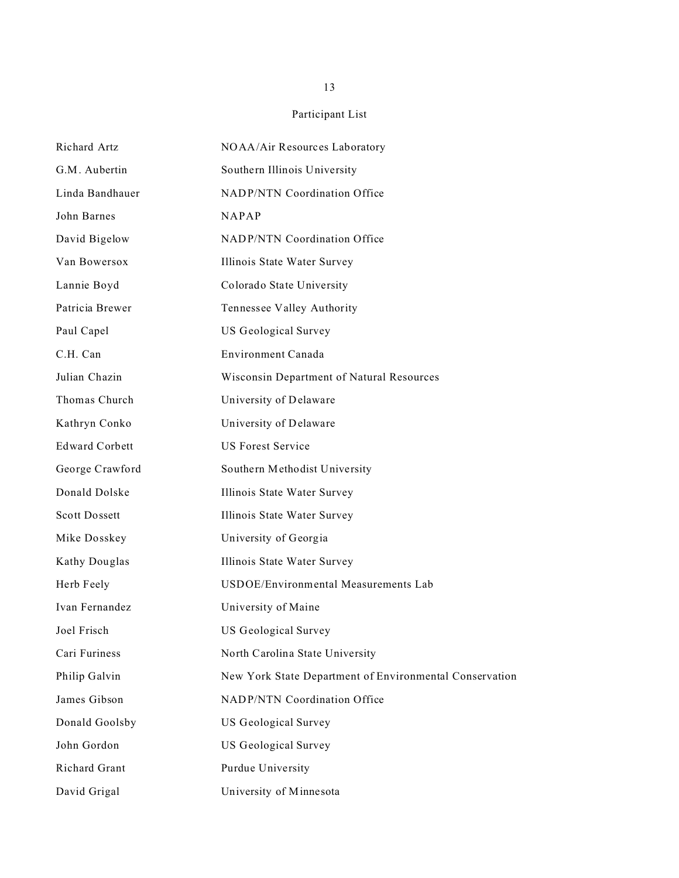| Richard Artz          | NOAA/Air Resources Laboratory                           |
|-----------------------|---------------------------------------------------------|
| G.M. Aubertin         | Southern Illinois University                            |
| Linda Bandhauer       | NADP/NTN Coordination Office                            |
| John Barnes           | <b>NAPAP</b>                                            |
| David Bigelow         | NADP/NTN Coordination Office                            |
| Van Bowersox          | Illinois State Water Survey                             |
| Lannie Boyd           | Colorado State University                               |
| Patricia Brewer       | Tennessee Valley Authority                              |
| Paul Capel            | US Geological Survey                                    |
| C.H. Can              | Environment Canada                                      |
| Julian Chazin         | Wisconsin Department of Natural Resources               |
| Thomas Church         | University of Delaware                                  |
| Kathryn Conko         | University of Delaware                                  |
| <b>Edward Corbett</b> | <b>US Forest Service</b>                                |
| George Crawford       | Southern Methodist University                           |
| Donald Dolske         | Illinois State Water Survey                             |
| <b>Scott Dossett</b>  | Illinois State Water Survey                             |
| Mike Dosskey          | University of Georgia                                   |
| Kathy Douglas         | Illinois State Water Survey                             |
| Herb Feely            | USDOE/Environmental Measurements Lab                    |
| Ivan Fernandez        | University of Maine                                     |
| Joel Frisch           | US Geological Survey                                    |
| Cari Furiness         | North Carolina State University                         |
| Philip Galvin         | New York State Department of Environmental Conservation |
| James Gibson          | <b>NADP/NTN Coordination Office</b>                     |
| Donald Goolsby        | <b>US Geological Survey</b>                             |
| John Gordon           | US Geological Survey                                    |
| Richard Grant         | Purdue University                                       |
| David Grigal          | University of Minnesota                                 |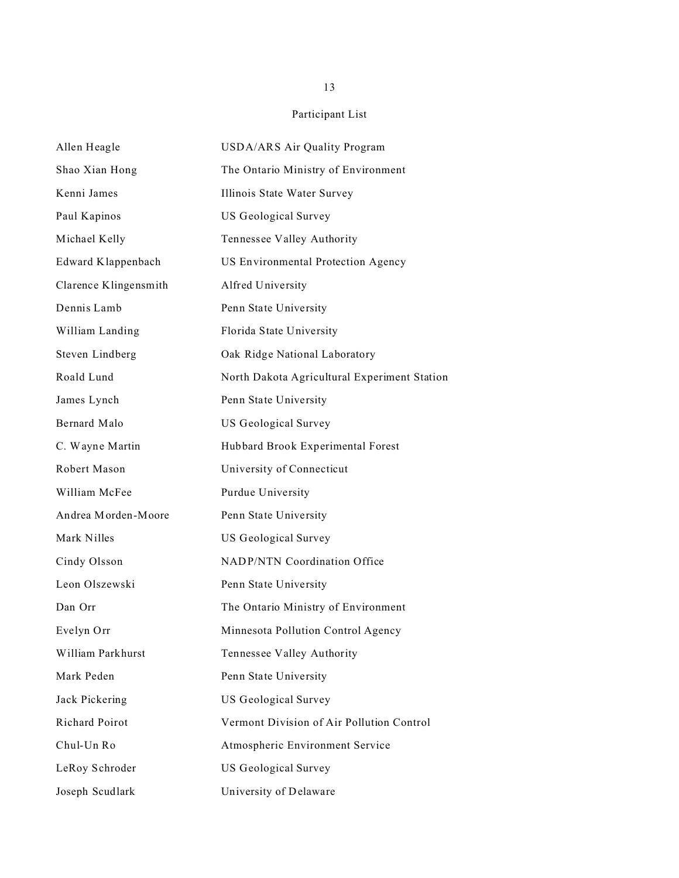| Allen Heagle          | USDA/ARS Air Quality Program                 |
|-----------------------|----------------------------------------------|
| Shao Xian Hong        | The Ontario Ministry of Environment          |
| Kenni James           | Illinois State Water Survey                  |
| Paul Kapinos          | US Geological Survey                         |
| Michael Kelly         | Tennessee Valley Authority                   |
| Edward Klappenbach    | US Environmental Protection Agency           |
| Clarence Klingensmith | Alfred University                            |
| Dennis Lamb           | Penn State University                        |
| William Landing       | Florida State University                     |
| Steven Lindberg       | Oak Ridge National Laboratory                |
| Roald Lund            | North Dakota Agricultural Experiment Station |
| James Lynch           | Penn State University                        |
| Bernard Malo          | US Geological Survey                         |
| C. Wayne Martin       | Hubbard Brook Experimental Forest            |
| Robert Mason          | University of Connecticut                    |
| William McFee         | Purdue University                            |
| Andrea Morden-Moore   | Penn State University                        |
| Mark Nilles           | US Geological Survey                         |
| Cindy Olsson          | NADP/NTN Coordination Office                 |
| Leon Olszewski        | Penn State University                        |
| Dan Orr               | The Ontario Ministry of Environment          |
| Evelyn Orr            | Minnesota Pollution Control Agency           |
| William Parkhurst     | Tennessee Valley Authority                   |
| Mark Peden            | Penn State University                        |
| Jack Pickering        | US Geological Survey                         |
| Richard Poirot        | Vermont Division of Air Pollution Control    |
| Chul-Un Ro            | Atmospheric Environment Service              |
| LeRoy Schroder        | US Geological Survey                         |
| Joseph Scudlark       | University of Delaware                       |